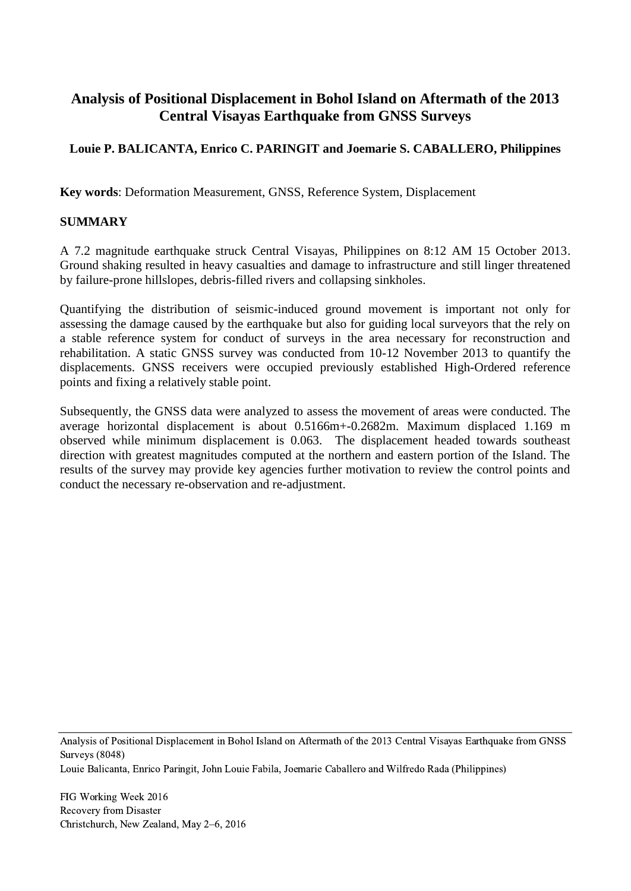# **Analysis of Positional Displacement in Bohol Island on Aftermath of the 2013 Central Visayas Earthquake from GNSS Surveys**

## **Louie P. BALICANTA, Enrico C. PARINGIT and Joemarie S. CABALLERO, Philippines**

**Key words**: Deformation Measurement, GNSS, Reference System, Displacement

#### **SUMMARY**

A 7.2 magnitude earthquake struck Central Visayas, Philippines on 8:12 AM 15 October 2013. Ground shaking resulted in heavy casualties and damage to infrastructure and still linger threatened by failure-prone hillslopes, debris-filled rivers and collapsing sinkholes.

Quantifying the distribution of seismic-induced ground movement is important not only for assessing the damage caused by the earthquake but also for guiding local surveyors that the rely on a stable reference system for conduct of surveys in the area necessary for reconstruction and rehabilitation. A static GNSS survey was conducted from 10-12 November 2013 to quantify the displacements. GNSS receivers were occupied previously established High-Ordered reference points and fixing a relatively stable point.

Subsequently, the GNSS data were analyzed to assess the movement of areas were conducted. The average horizontal displacement is about 0.5166m+-0.2682m. Maximum displaced 1.169 m observed while minimum displacement is 0.063. The displacement headed towards southeast direction with greatest magnitudes computed at the northern and eastern portion of the Island. The results of the survey may provide key agencies further motivation to review the control points and conduct the necessary re-observation and re-adjustment.

Analysis of Positional Displacement in Bohol Island on Aftermath of the 2013 Central Visayas Earthquake from GNSS Surveys (8048)

Louie Balicanta, Enrico Paringit, John Louie Fabila, Joemarie Caballero and Wilfredo Rada (Philippines)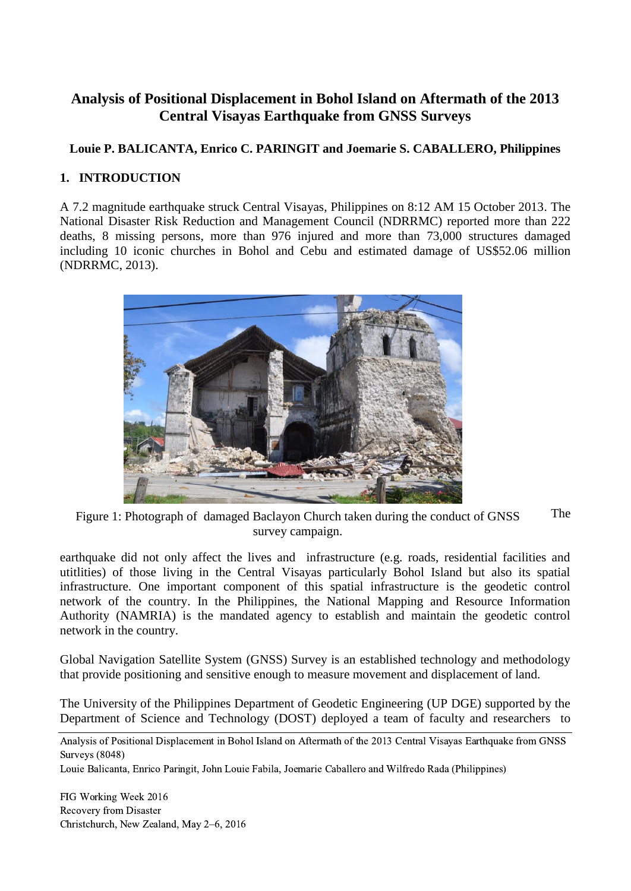# **Analysis of Positional Displacement in Bohol Island on Aftermath of the 2013 Central Visayas Earthquake from GNSS Surveys**

### **Louie P. BALICANTA, Enrico C. PARINGIT and Joemarie S. CABALLERO, Philippines**

#### **1. INTRODUCTION**

A 7.2 magnitude earthquake struck Central Visayas, Philippines on 8:12 AM 15 October 2013. The National Disaster Risk Reduction and Management Council (NDRRMC) reported more than 222 deaths, 8 missing persons, more than 976 injured and more than 73,000 structures damaged including 10 iconic churches in Bohol and Cebu and estimated damage of US\$52.06 million (NDRRMC, 2013).



The Figure 1: Photograph of damaged Baclayon Church taken during the conduct of GNSS survey campaign.

earthquake did not only affect the lives and infrastructure (e.g. roads, residential facilities and utitlities) of those living in the Central Visayas particularly Bohol Island but also its spatial infrastructure. One important component of this spatial infrastructure is the geodetic control network of the country. In the Philippines, the National Mapping and Resource Information Authority (NAMRIA) is the mandated agency to establish and maintain the geodetic control network in the country.

Global Navigation Satellite System (GNSS) Survey is an established technology and methodology that provide positioning and sensitive enough to measure movement and displacement of land.

The University of the Philippines Department of Geodetic Engineering (UP DGE) supported by the Department of Science and Technology (DOST) deployed a team of faculty and researchers to

Analysis of Positional Displacement in Bohol Island on Aftermath of the 2013 Central Visayas Earthquake from GNSS Surveys (8048)

Louie Balicanta, Enrico Paringit, John Louie Fabila, Joemarie Caballero and Wilfredo Rada (Philippines)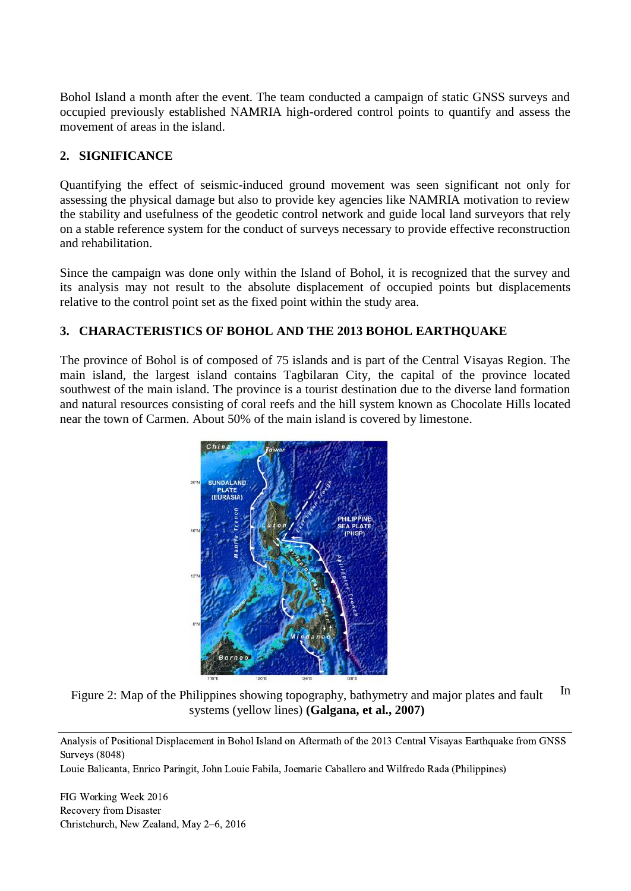Bohol Island a month after the event. The team conducted a campaign of static GNSS surveys and occupied previously established NAMRIA high-ordered control points to quantify and assess the movement of areas in the island.

#### **2. SIGNIFICANCE**

Quantifying the effect of seismic-induced ground movement was seen significant not only for assessing the physical damage but also to provide key agencies like NAMRIA motivation to review the stability and usefulness of the geodetic control network and guide local land surveyors that rely on a stable reference system for the conduct of surveys necessary to provide effective reconstruction and rehabilitation.

Since the campaign was done only within the Island of Bohol, it is recognized that the survey and its analysis may not result to the absolute displacement of occupied points but displacements relative to the control point set as the fixed point within the study area.

#### **3. CHARACTERISTICS OF BOHOL AND THE 2013 BOHOL EARTHQUAKE**

The province of Bohol is of composed of 75 islands and is part of the Central Visayas Region. The main island, the largest island contains Tagbilaran City, the capital of the province located southwest of the main island. The province is a tourist destination due to the diverse land formation and natural resources consisting of coral reefs and the hill system known as Chocolate Hills located near the town of Carmen. About 50% of the main island is covered by limestone.



Figure 2: Map of the Philippines showing topography, bathymetry and major plates and fault systems (yellow lines) **(Galgana, et al., 2007)** In

Analysis of Positional Displacement in Bohol Island on Aftermath of the 2013 Central Visayas Earthquake from GNSS Surveys (8048)

Louie Balicanta, Enrico Paringit, John Louie Fabila, Joemarie Caballero and Wilfredo Rada (Philippines)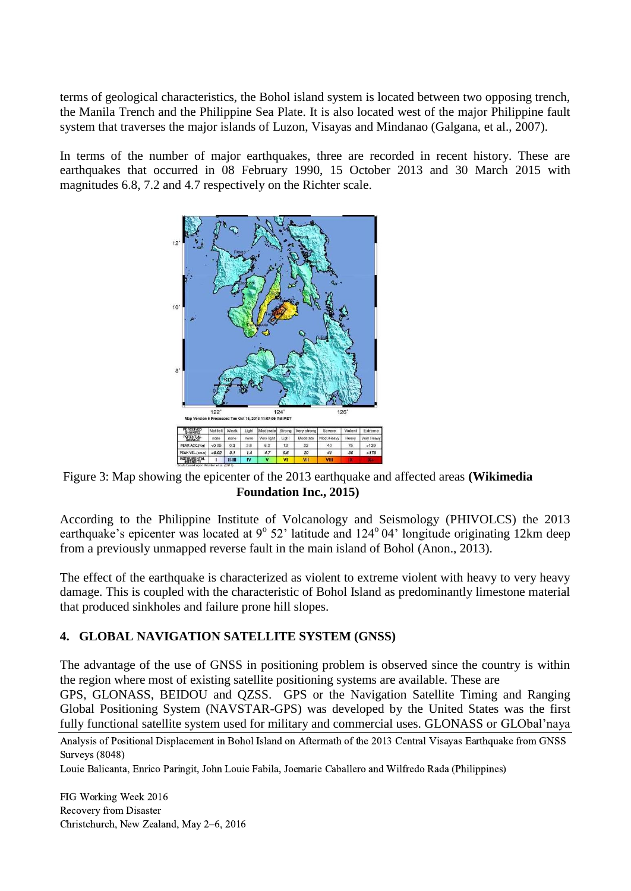terms of geological characteristics, the Bohol island system is located between two opposing trench, the Manila Trench and the Philippine Sea Plate. It is also located west of the major Philippine fault system that traverses the major islands of Luzon, Visayas and Mindanao (Galgana, et al., 2007).

In terms of the number of major earthquakes, three are recorded in recent history. These are earthquakes that occurred in 08 February 1990, 15 October 2013 and 30 March 2015 with magnitudes 6.8, 7.2 and 4.7 respectively on the Richter scale.



Figure 3: Map showing the epicenter of the 2013 earthquake and affected areas **(Wikimedia Foundation Inc., 2015)**

According to the Philippine Institute of Volcanology and Seismology (PHIVOLCS) the 2013 earthquake's epicenter was located at 9° 52' latitude and 124° 04' longitude originating 12km deep from a previously unmapped reverse fault in the main island of Bohol (Anon., 2013).

The effect of the earthquake is characterized as violent to extreme violent with heavy to very heavy damage. This is coupled with the characteristic of Bohol Island as predominantly limestone material that produced sinkholes and failure prone hill slopes.

#### **4. GLOBAL NAVIGATION SATELLITE SYSTEM (GNSS)**

The advantage of the use of GNSS in positioning problem is observed since the country is within the region where most of existing satellite positioning systems are available. These are

GPS, GLONASS, BEIDOU and QZSS. GPS or the Navigation Satellite Timing and Ranging Global Positioning System (NAVSTAR-GPS) was developed by the United States was the first fully functional satellite system used for military and commercial uses. GLONASS or GLObal'naya

Analysis of Positional Displacement in Bohol Island on Aftermath of the 2013 Central Visayas Earthquake from GNSS Surveys (8048)

Louie Balicanta, Enrico Paringit, John Louie Fabila, Joemarie Caballero and Wilfredo Rada (Philippines)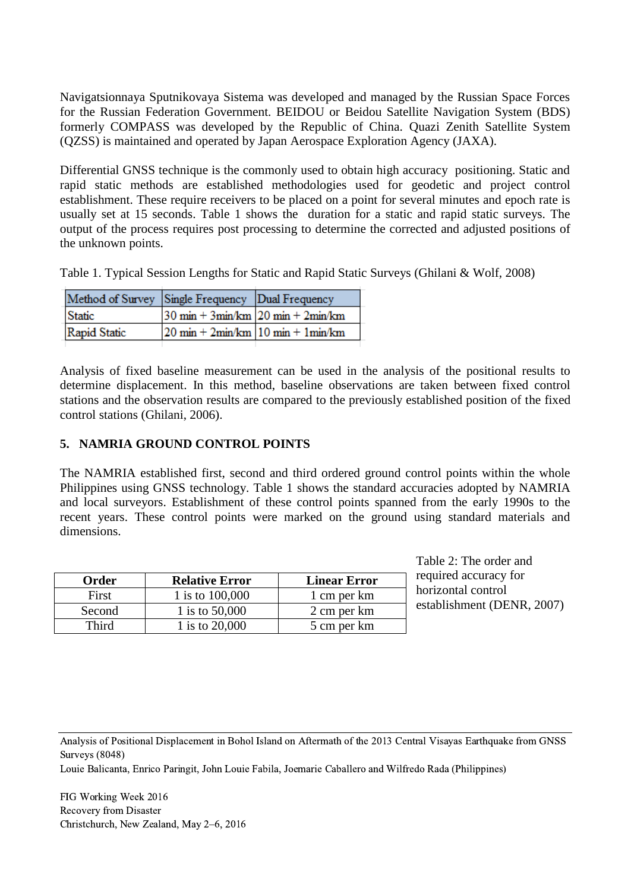Navigatsionnaya Sputnikovaya Sistema was developed and managed by the Russian Space Forces for the Russian Federation Government. BEIDOU or Beidou Satellite Navigation System (BDS) formerly COMPASS was developed by the Republic of China. Quazi Zenith Satellite System (QZSS) is maintained and operated by Japan Aerospace Exploration Agency (JAXA).

Differential GNSS technique is the commonly used to obtain high accuracy positioning. Static and rapid static methods are established methodologies used for geodetic and project control establishment. These require receivers to be placed on a point for several minutes and epoch rate is usually set at 15 seconds. Table 1 shows the duration for a static and rapid static surveys. The output of the process requires post processing to determine the corrected and adjusted positions of the unknown points.

Table 1. Typical Session Lengths for Static and Rapid Static Surveys (Ghilani & Wolf, 2008)

| Method of Survey Single Frequency Dual Frequency |                                                                       |  |
|--------------------------------------------------|-----------------------------------------------------------------------|--|
| Static                                           | $30 \text{ min} + 3 \text{min/km}$ $20 \text{ min} + 2 \text{min/km}$ |  |
| Rapid Static                                     | $20 \text{ min} + 2 \text{min/km}$ 10 min + 1 min/km                  |  |
|                                                  |                                                                       |  |

Analysis of fixed baseline measurement can be used in the analysis of the positional results to determine displacement. In this method, baseline observations are taken between fixed control stations and the observation results are compared to the previously established position of the fixed control stations (Ghilani, 2006).

#### **5. NAMRIA GROUND CONTROL POINTS**

The NAMRIA established first, second and third ordered ground control points within the whole Philippines using GNSS technology. Table 1 shows the standard accuracies adopted by NAMRIA and local surveyors. Establishment of these control points spanned from the early 1990s to the recent years. These control points were marked on the ground using standard materials and dimensions.

| Order  | <b>Relative Error</b> | <b>Linear Error</b> |
|--------|-----------------------|---------------------|
| First  | 1 is to 100,000       | 1 cm per km         |
| Second | 1 is to 50,000        | 2 cm per km         |
| Third  | 1 is to 20,000        | 5 cm per km         |

Table 2: The order and required accuracy for horizontal control establishment (DENR, 2007)

Analysis of Positional Displacement in Bohol Island on Aftermath of the 2013 Central Visayas Earthquake from GNSS Surveys (8048)

Louie Balicanta, Enrico Paringit, John Louie Fabila, Joemarie Caballero and Wilfredo Rada (Philippines)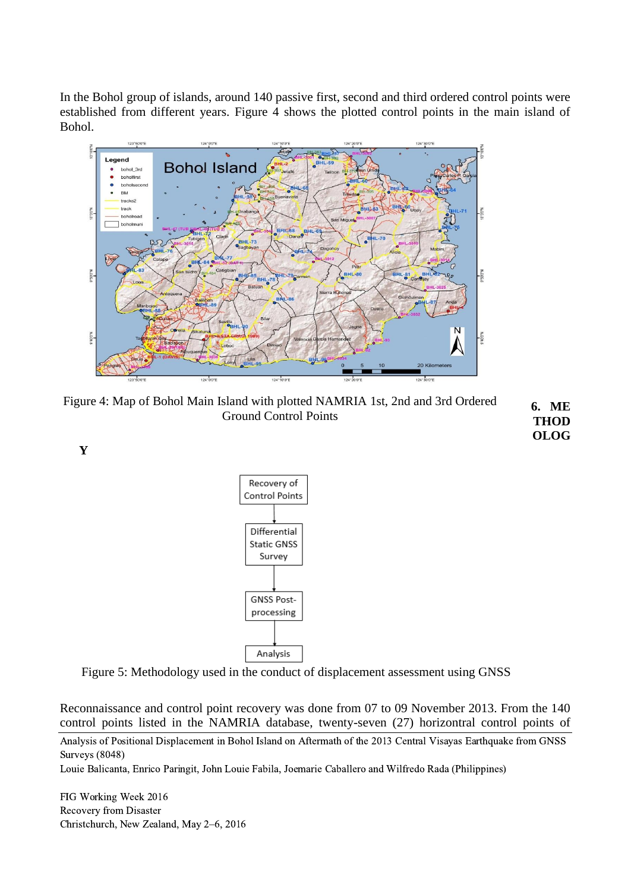In the Bohol group of islands, around 140 passive first, second and third ordered control points were established from different years. Figure 4 shows the plotted control points in the main island of Bohol.



Figure 4: Map of Bohol Main Island with plotted NAMRIA 1st, 2nd and 3rd Ordered Ground Control Points **6. ME THOD**

**OLOG**

**Y**



Figure 5: Methodology used in the conduct of displacement assessment using GNSS

Reconnaissance and control point recovery was done from 07 to 09 November 2013. From the 140 control points listed in the NAMRIA database, twenty-seven (27) horizontral control points of

Analysis of Positional Displacement in Bohol Island on Aftermath of the 2013 Central Visayas Earthquake from GNSS Surveys (8048)

Louie Balicanta, Enrico Paringit, John Louie Fabila, Joemarie Caballero and Wilfredo Rada (Philippines)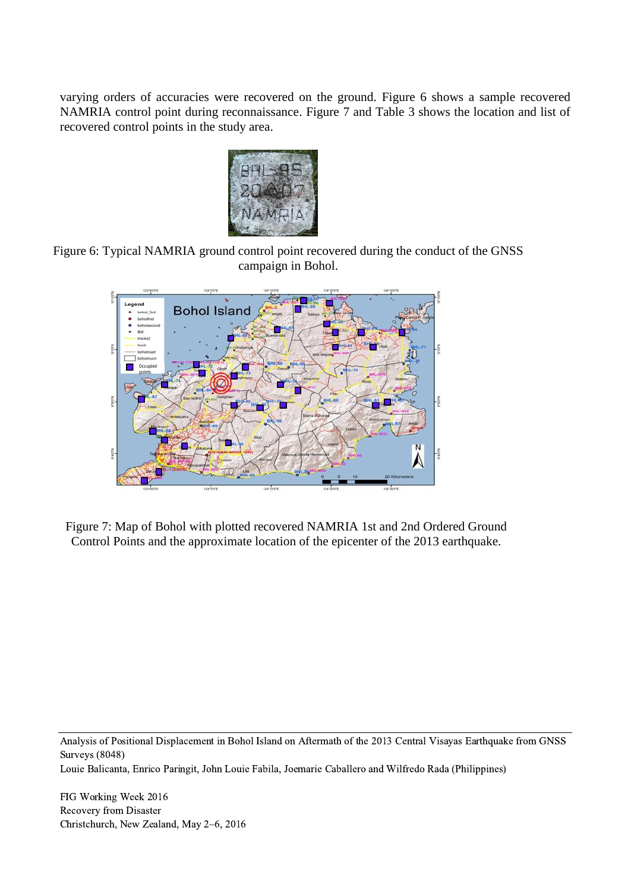varying orders of accuracies were recovered on the ground. Figure 6 shows a sample recovered NAMRIA control point during reconnaissance. Figure 7 and Table 3 shows the location and list of recovered control points in the study area.



Figure 6: Typical NAMRIA ground control point recovered during the conduct of the GNSS campaign in Bohol.



Figure 7: Map of Bohol with plotted recovered NAMRIA 1st and 2nd Ordered Ground Control Points and the approximate location of the epicenter of the 2013 earthquake.

Analysis of Positional Displacement in Bohol Island on Aftermath of the 2013 Central Visayas Earthquake from GNSS Surveys (8048)

Louie Balicanta, Enrico Paringit, John Louie Fabila, Joemarie Caballero and Wilfredo Rada (Philippines)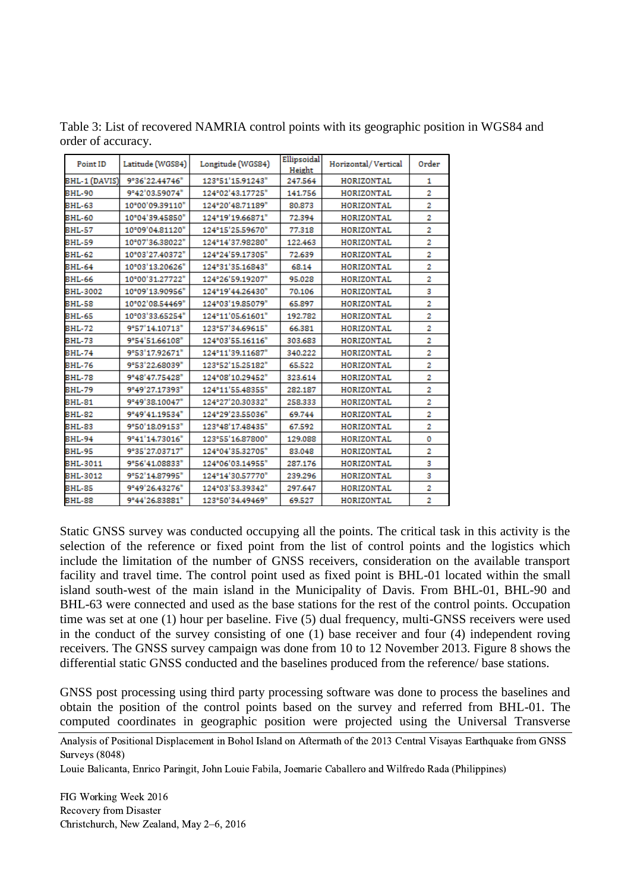Table 3: List of recovered NAMRIA control points with its geographic position in WGS84 and order of accuracy.

| Point ID      | Latitude (WGS84) | Longitude (WGS84) | Ellipsoidal<br>Height | Horizontal/Vertical | Order |
|---------------|------------------|-------------------|-----------------------|---------------------|-------|
| BHL-1 (DAVIS) | 9°36'22.44746"   | 123°51'15.91243"  | 247.564               | HORIZONTAL          | 1     |
| <b>BHL-90</b> | 9°42'03.59074"   | 124°02'43.17725"  | 141.756               | HORIZONTAL          | 2     |
| BHL-63        | 10°00'09.39110"  | 124°20'48.71189"  | 80.873                | HORIZONTAL          |       |
| <b>BHL-60</b> | 10°04'39.45850"  | 124°19'19.66871"  | 72.394                | HORIZONTAL          | 2     |
| <b>BHL-57</b> | 10°09'04.81120"  | 124°15'25.59670"  | 77.318                | HORIZONTAL          | 2     |
| <b>BHL-59</b> | 10°07'36.38022"  | 124°14'37.98280"  | 122.463               | HORIZONTAL          | 2     |
| BHL-62        | 10°03'27.40372"  | 124°24'59.17305"  | 72.639                | HORIZONTAL          | 2     |
| <b>BHL-64</b> | 10°03'13.20626"  | 124°31'35.16843"  | 68.14                 | HORIZONTAL          | 2     |
| BHL-66        | 10°00'31.27722"  | 124°26'59.19207"  | 95.028                | HORIZONTAL          | 2     |
| BHL-3002      | 10°09'13.90956"  | 124°19'44.26430"  | 70.106                | HORIZONTAL          | 3     |
| <b>BHL-58</b> | 10°02'08.54469"  | 124°03'19.85079"  | 65.897                | HORIZONTAL          |       |
| <b>BHL-65</b> | 10°03'33.65254"  | 124°11'05.61601"  | 192.782               | HORIZONTAL          | 2     |
| <b>BHL-72</b> | 9°57'14.10713"   | 123°57'34.69615"  | 66.381                | HORIZONTAL          | 2     |
| BHL-73        | 9°54'51.66108"   | 124°03'55.16116"  | 303.683               | HORIZONTAL          | 2     |
| <b>BHL-74</b> | 9°53'17.92671"   | 124°11'39.11687"  | 340.222               | HORIZONTAL          | 2     |
| <b>BHL-76</b> | 9°53'22.68039"   | 123°52'15.25182"  | 65.522                | HORIZONTAL          | 2     |
| <b>BHL-78</b> | 9°48'47.75428"   | 124°08'10.29452"  | 323.614               | HORIZONTAL          | 2     |
| <b>BHL-79</b> | 9°49'27.17393"   | 124°11'55.48355"  | 282.187               | HORIZONTAL          | 2     |
| <b>BHL-81</b> | 9°49'38.10047"   | 124°27'20.30332"  | 258.333               | HORIZONTAL          | 2     |
| BHL-82        | 9°49'41.19534"   | 124°29'23.55036"  | 69.744                | HORIZONTAL          | 2     |
| <b>BHL-83</b> | 9°50'18.09153"   | 123°48'17.48435"  | 67.592                | HORIZONTAL          | 2     |
| <b>BHL-94</b> | 9°41'14.73016"   | 123°55'16.87800"  | 129.088               | HORIZONTAL          | 0     |
| <b>BHL-95</b> | 9°35'27.03717"   | 124°04'35.32705"  | 83.048                | HORIZONTAL          | 2     |
| BHL-3011      | 9°56'41.08833"   | 124°06'03.14955"  | 287.176               | HORIZONTAL          | з     |
| BHL-3012      | 9°52'14.87995"   | 124°14'30.57770"  | 239.296               | HORIZONTAL          | з     |
| <b>BHL-85</b> | 9°49'26.43276"   | 124°03'53.39342"  | 297.647               | HORIZONTAL          | 2     |
| BHL-88        | 9°44'26.83881"   | 123°50'34.49469"  | 69.527                | HORIZONTAL          | 2     |

Static GNSS survey was conducted occupying all the points. The critical task in this activity is the selection of the reference or fixed point from the list of control points and the logistics which include the limitation of the number of GNSS receivers, consideration on the available transport facility and travel time. The control point used as fixed point is BHL-01 located within the small island south-west of the main island in the Municipality of Davis. From BHL-01, BHL-90 and BHL-63 were connected and used as the base stations for the rest of the control points. Occupation time was set at one (1) hour per baseline. Five (5) dual frequency, multi-GNSS receivers were used in the conduct of the survey consisting of one (1) base receiver and four (4) independent roving receivers. The GNSS survey campaign was done from 10 to 12 November 2013. Figure 8 shows the differential static GNSS conducted and the baselines produced from the reference/ base stations.

GNSS post processing using third party processing software was done to process the baselines and obtain the position of the control points based on the survey and referred from BHL-01. The computed coordinates in geographic position were projected using the Universal Transverse

Louie Balicanta, Enrico Paringit, John Louie Fabila, Joemarie Caballero and Wilfredo Rada (Philippines)

Analysis of Positional Displacement in Bohol Island on Aftermath of the 2013 Central Visayas Earthquake from GNSS Surveys (8048)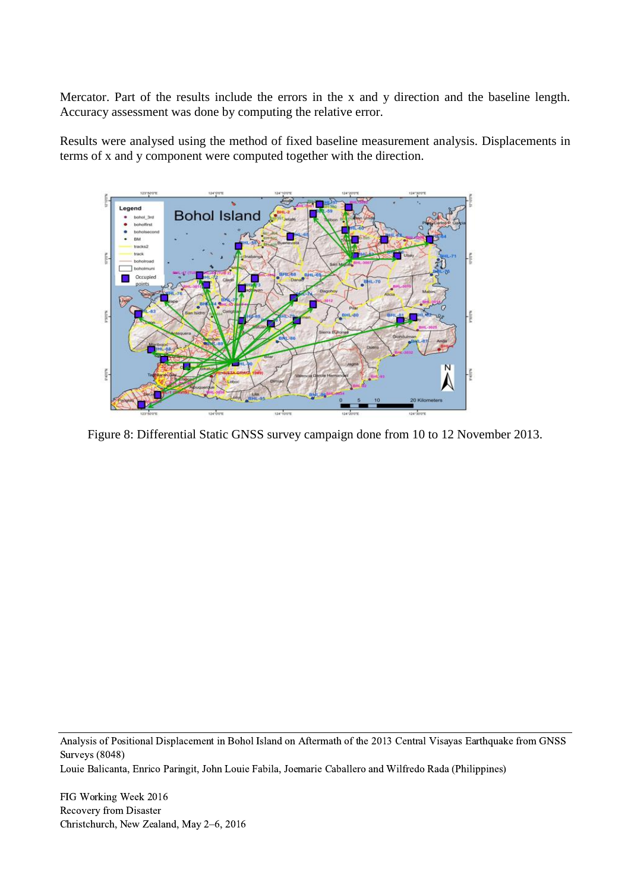Mercator. Part of the results include the errors in the x and y direction and the baseline length. Accuracy assessment was done by computing the relative error.

Results were analysed using the method of fixed baseline measurement analysis. Displacements in terms of x and y component were computed together with the direction.



Figure 8: Differential Static GNSS survey campaign done from 10 to 12 November 2013.

Analysis of Positional Displacement in Bohol Island on Aftermath of the 2013 Central Visayas Earthquake from GNSS Surveys (8048)

Louie Balicanta, Enrico Paringit, John Louie Fabila, Joemarie Caballero and Wilfredo Rada (Philippines)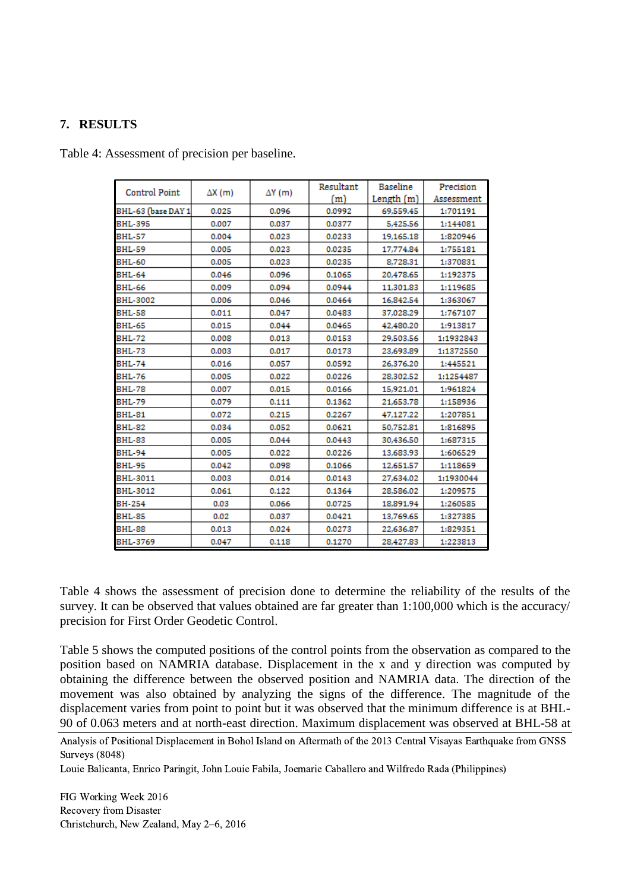#### **7. RESULTS**

Table 4: Assessment of precision per baseline.

| Control Point      | $\Delta X(m)$ | $\Delta Y$ (m) | Resultant | <b>Baseline</b> | Precision  |  |
|--------------------|---------------|----------------|-----------|-----------------|------------|--|
|                    |               |                | (m)       | Length $(m)$    | Assessment |  |
| BHL-63 (base DAY 1 | 0.025         | 0.096          | 0.0992    | 69,559.45       | 1:701191   |  |
| <b>BHL-395</b>     | 0.007         | 0.037          | 0.0377    | 5,425.56        | 1:144081   |  |
| <b>BHL-57</b>      | 0.004         | 0.023          | 0.0233    | 19,165.18       | 1:820946   |  |
| <b>BHL-59</b>      | 0.005         | 0.023          | 0.0235    | 17,774.84       | 1:755181   |  |
| <b>BHL-60</b>      | 0.005         | 0.023          | 0.0235    | 8,728.31        | 1:370831   |  |
| <b>BHL-64</b>      | 0.046         | 0.096          | 0.1065    | 20,478.65       | 1:192375   |  |
| BHL-66             | 0.009         | 0.094          | 0.0944    | 11,301.83       | 1:119685   |  |
| BHL-3002           | 0.006         | 0.046          | 0.0464    | 16.842.54       | 1:363067   |  |
| <b>BHL-58</b>      | 0.011         | 0.047          | 0.0483    | 37,028.29       | 1:767107   |  |
| BHL-65             | 0.015         | 0.044          | 0.0465    | 42,480,20       | 1:913817   |  |
| <b>BHL-72</b>      | 0.008         | 0.013          | 0.0153    | 29,503.56       | 1:1932843  |  |
| BHL-73             | 0.003         | 0.017          | 0.0173    | 23.693.89       | 1:1372550  |  |
| <b>BHL-74</b>      | 0.016         | 0.057          | 0.0592    | 26.376.20       | 1:445521   |  |
| BHL-76             | 0.005         | 0.022          | 0.0226    | 28,302.52       | 1:1254487  |  |
| <b>BHL-78</b>      | 0.007         | 0.015          | 0.0166    | 15,921.01       | 1:961824   |  |
| <b>BHL-79</b>      | 0.079         | 0.111          | 0.1362    | 21,653.78       | 1:158936   |  |
| <b>BHL-81</b>      | 0.072         | 0.215          | 0.2267    | 47,127.22       | 1:207851   |  |
| <b>BHL-82</b>      | 0.034         | 0.052          | 0.0621    | 50,752.81       | 1:816895   |  |
| <b>BHL-83</b>      | 0.005         | 0.044          | 0.0443    | 30,436.50       | 1:687315   |  |
| <b>BHL-94</b>      | 0.005         | 0.022          | 0.0226    | 13,683.93       | 1:606529   |  |
| <b>BHL-95</b>      | 0.042         | 0.098          | 0.1066    | 12,651.57       | 1:118659   |  |
| BHL-3011           | 0.003         | 0.014          | 0.0143    | 27,634.02       | 1:1930044  |  |
| BHL-3012           | 0.061         | 0.122          | 0.1364    | 28,586.02       | 1:209575   |  |
| <b>BH-254</b>      | 0.03          | 0.066          | 0.0725    | 18,891.94       | 1:260585   |  |
| <b>BHL-85</b>      | 0.02          | 0.037          | 0.0421    | 13,769.65       | 1:327385   |  |
| BHL-88             | 0.013         | 0.024          | 0.0273    | 22,636.87       | 1:829351   |  |
| BHL-3769           | 0.047         | 0.118          | 0.1270    | 28,427.83       | 1:223813   |  |

Table 4 shows the assessment of precision done to determine the reliability of the results of the survey. It can be observed that values obtained are far greater than 1:100,000 which is the accuracy/ precision for First Order Geodetic Control.

Table 5 shows the computed positions of the control points from the observation as compared to the position based on NAMRIA database. Displacement in the x and y direction was computed by obtaining the difference between the observed position and NAMRIA data. The direction of the movement was also obtained by analyzing the signs of the difference. The magnitude of the displacement varies from point to point but it was observed that the minimum difference is at BHL-90 of 0.063 meters and at north-east direction. Maximum displacement was observed at BHL-58 at

Louie Balicanta, Enrico Paringit, John Louie Fabila, Joemarie Caballero and Wilfredo Rada (Philippines)

Analysis of Positional Displacement in Bohol Island on Aftermath of the 2013 Central Visayas Earthquake from GNSS Surveys (8048)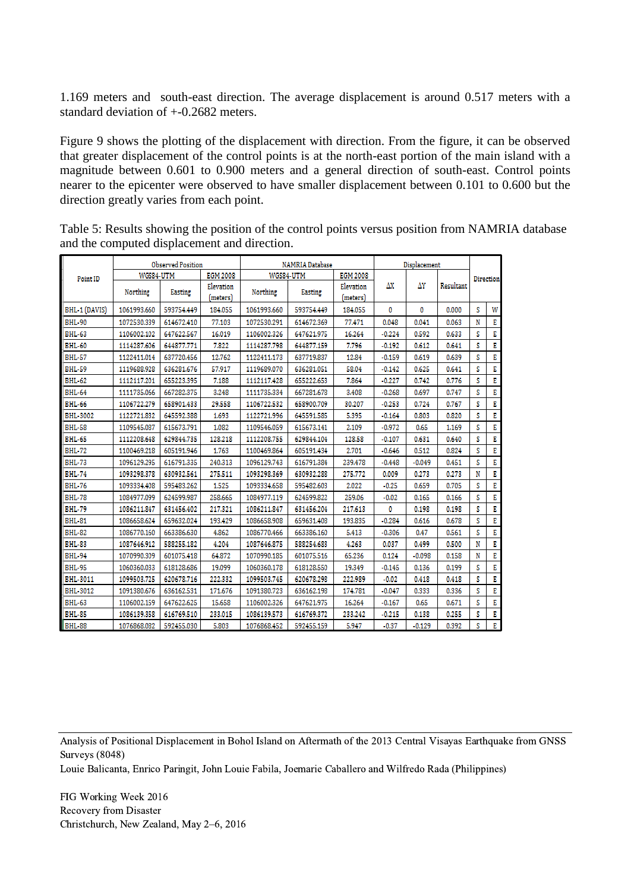1.169 meters and south-east direction. The average displacement is around 0.517 meters with a standard deviation of +-0.2682 meters.

Figure 9 shows the plotting of the displacement with direction. From the figure, it can be observed that greater displacement of the control points is at the north-east portion of the main island with a magnitude between 0.601 to 0.900 meters and a general direction of south-east. Control points nearer to the epicenter were observed to have smaller displacement between 0.101 to 0.600 but the direction greatly varies from each point.

|                       | <b>Observed Position</b> |            | <b>NAMRIA Database</b> |             |            | Displacement        |          |          |           |           |   |
|-----------------------|--------------------------|------------|------------------------|-------------|------------|---------------------|----------|----------|-----------|-----------|---|
| WGS84-UTM<br>Point ID |                          |            | <b>EGM 2008</b>        | WGS84-UTM   |            | <b>EGM 2008</b>     |          |          |           | Direction |   |
|                       | Northing                 | Easting    | Elevation              | Northing    | Easting    | Elevation           | ΔХ       | ΔΥ       | Resultant |           |   |
| BHL-1 (DAVIS)         | 1061993.660              | 593754.449 | (meters)<br>184.055    | 1061993.660 | 593754.449 | (meters)<br>184.055 | 0        | 0        | 0.000     | s         | W |
| BHL-90                | 1072530.339              | 614672.410 | 77.103                 |             |            | 77,471              | 0.048    | 0.041    | 0.063     | N         | E |
|                       |                          |            |                        | 1072530.291 | 614672.369 |                     |          |          |           |           |   |
| <b>BHL-63</b>         | 1106002.102              | 647622.567 | 16.019                 | 1106002.326 | 647621.975 | 16.264              | $-0.224$ | 0.592    | 0.633     | s         | E |
| BHL-60                | 1114287.606              | 644877.771 | 7,822                  | 1114287.798 | 644877.159 | 7.796               | $-0.192$ | 0.612    | 0.641     | s         | Ε |
| <b>BHL-57</b>         | 1122411.014              | 637720.456 | 12.762                 | 1122411.173 | 637719.837 | 12.84               | $-0.159$ | 0.619    | 0.639     | s         | Е |
| <b>BHL-59</b>         | 1119688.928              | 636281.676 | 57.917                 | 1119689.070 | 636281.051 | 58.04               | $-0.142$ | 0.625    | 0.641     | s         | E |
| <b>BHL-62</b>         | 1112117.201              | 655223.395 | 7.188                  | 1112117.428 | 655222.653 | 7.864               | $-0.227$ | 0.742    | 0.776     | s         | Ε |
| <b>BHL-64</b>         | 1111735.066              | 667282.375 | 3.248                  | 1111735.334 | 667281.678 | 3,408               | $-0.268$ | 0.697    | 0.747     | s         | Ε |
| <b>BHL-66</b>         | 1106722.279              | 658901.433 | 29.558                 | 1106722.532 | 658900.709 | 30.207              | $-0.253$ | 0.724    | 0.767     | s         | E |
| BHL-3002              | 1122721.832              | 645592.388 | 1.693                  | 1122721.996 | 645591.585 | 5.395               | $-0.164$ | 0.803    | 0.820     | s         | Ε |
| <b>BHL-58</b>         | 1109545.087              | 615673.791 | 1.082                  | 1109546.059 | 615673.141 | 2.109               | $-0.972$ | 0.65     | 1.169     | s         | Ε |
| <b>BHL-65</b>         | 1112208.648              | 629844.735 | 128,218                | 1112208.755 | 629844.104 | 128.58              | $-0.107$ | 0.631    | 0.640     | s         | E |
| <b>BHL-72</b>         | 1100469.218              | 605191.946 | 1.763                  | 1100469.864 | 605191.434 | 2.701               | $-0.646$ | 0.512    | 0.824     | s         | Ε |
| <b>BHL-73</b>         | 1096129.295              | 616791.335 | 240.313                | 1096129.743 | 616791.384 | 239,478             | $-0.448$ | $-0.049$ | 0.451     | s         | Ε |
| <b>BHL-74</b>         | 1093298.378              | 630932.561 | 275.511                | 1093298.369 | 630932.288 | 275,772             | 0.009    | 0.273    | 0.273     | N         | E |
| <b>BHL-76</b>         | 1093334.408              | 595483.262 | 1.525                  | 1093334.658 | 595482.603 | 2.022               | $-0.25$  | 0.659    | 0.705     | s         | Ε |
| <b>BHL-78</b>         | 1084977.099              | 624599.987 | 258.665                | 1084977.119 | 624599.822 | 259.06              | $-0.02$  | 0.165    | 0.166     | s         | Ε |
| <b>BHL-79</b>         | 1086211.847              | 631456.402 | 217.321                | 1086211.847 | 631456.204 | 217.613             | 0        | 0.198    | 0.198     | s         | Е |
| <b>BHL-81</b>         | 1086658.624              | 659632.024 | 193,429                | 1086658.908 | 659631.408 | 193,835             | $-0.284$ | 0.616    | 0.678     | s         | Ε |
| <b>BHL-82</b>         | 1086770.160              | 663386.630 | 4.862                  | 1086770.466 | 663386.160 | 5.413               | $-0.306$ | 0.47     | 0.561     | s         | Ε |
| <b>BHL-83</b>         | 1087646.912              | 588255.182 | 4.204                  | 1087646.875 | 588254.683 | 4.263               | 0.037    | 0.499    | 0.500     | N         | Е |
| <b>BHL-94</b>         | 1070990.309              | 601075.418 | 64.872                 | 1070990.185 | 601075.516 | 65.236              | 0.124    | $-0.098$ | 0.158     | N         | Ε |
| BHL-95                | 1060360.033              | 618128.686 | 19.099                 | 1060360.178 | 618128.550 | 19.349              | $-0.145$ | 0.136    | 0.199     | s         | Ε |
| BHL-3011              | 1099503.725              | 620678.716 | 222.332                | 1099503.745 | 620678.298 | 222.989             | $-0.02$  | 0.418    | 0.418     | s         | Ε |
| BHL-3012              | 1091380.676              | 636162.531 | 171,676                | 1091380.723 | 636162.198 | 174,781             | $-0.047$ | 0.333    | 0.336     | s         | Ε |
| <b>BHL-63</b>         | 1106002.159              | 647622.625 | 15.658                 | 1106002.326 | 647621.975 | 16.264              | $-0.167$ | 0.65     | 0.671     | s         | Ε |
| <b>BHL-85</b>         | 1086139.358              | 616769.510 | 233.015                | 1086139.573 | 616769.372 | 233,242             | $-0.215$ | 0.138    | 0.255     | s         | Е |
| <b>BHL-88</b>         | 1076868.082              | 592455.030 | 5.803                  | 1076868.452 | 592455.159 | 5.947               | $-0.37$  | $-0.129$ | 0.392     | s         | E |

Table 5: Results showing the position of the control points versus position from NAMRIA database and the computed displacement and direction.

Analysis of Positional Displacement in Bohol Island on Aftermath of the 2013 Central Visayas Earthquake from GNSS Surveys (8048)

Louie Balicanta, Enrico Paringit, John Louie Fabila, Joemarie Caballero and Wilfredo Rada (Philippines)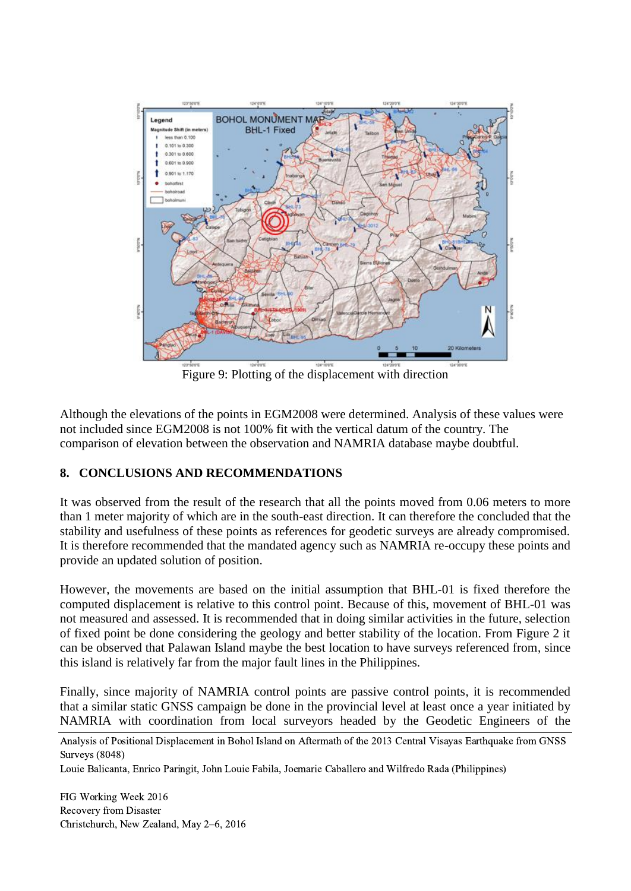

Figure 9: Plotting of the displacement with direction

Although the elevations of the points in EGM2008 were determined. Analysis of these values were not included since EGM2008 is not 100% fit with the vertical datum of the country. The comparison of elevation between the observation and NAMRIA database maybe doubtful.

## **8. CONCLUSIONS AND RECOMMENDATIONS**

It was observed from the result of the research that all the points moved from 0.06 meters to more than 1 meter majority of which are in the south-east direction. It can therefore the concluded that the stability and usefulness of these points as references for geodetic surveys are already compromised. It is therefore recommended that the mandated agency such as NAMRIA re-occupy these points and provide an updated solution of position.

However, the movements are based on the initial assumption that BHL-01 is fixed therefore the computed displacement is relative to this control point. Because of this, movement of BHL-01 was not measured and assessed. It is recommended that in doing similar activities in the future, selection of fixed point be done considering the geology and better stability of the location. From Figure 2 it can be observed that Palawan Island maybe the best location to have surveys referenced from, since this island is relatively far from the major fault lines in the Philippines.

Finally, since majority of NAMRIA control points are passive control points, it is recommended that a similar static GNSS campaign be done in the provincial level at least once a year initiated by NAMRIA with coordination from local surveyors headed by the Geodetic Engineers of the

Analysis of Positional Displacement in Bohol Island on Aftermath of the 2013 Central Visayas Earthquake from GNSS Surveys (8048)

Louie Balicanta, Enrico Paringit, John Louie Fabila, Joemarie Caballero and Wilfredo Rada (Philippines)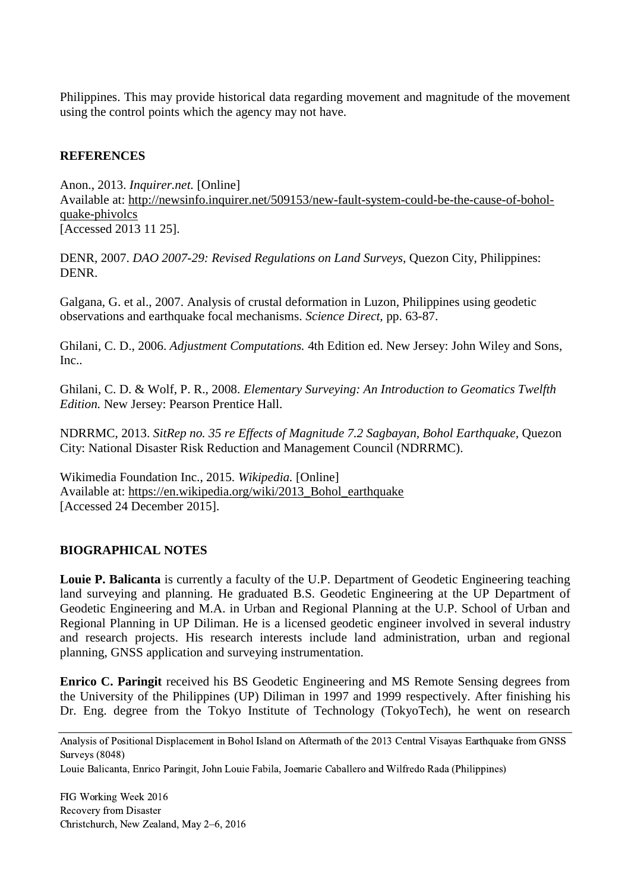Philippines. This may provide historical data regarding movement and magnitude of the movement using the control points which the agency may not have.

#### **REFERENCES**

Anon., 2013. *Inquirer.net.* [Online] Available at: http://newsinfo.inquirer.net/509153/new-fault-system-could-be-the-cause-of-boholquake-phivolcs [Accessed 2013 11 25].

DENR, 2007. *DAO 2007-29: Revised Regulations on Land Surveys,* Quezon City, Philippines: DENR.

Galgana, G. et al., 2007. Analysis of crustal deformation in Luzon, Philippines using geodetic observations and earthquake focal mechanisms. *Science Direct,* pp. 63-87.

Ghilani, C. D., 2006. *Adjustment Computations.* 4th Edition ed. New Jersey: John Wiley and Sons, Inc..

Ghilani, C. D. & Wolf, P. R., 2008. *Elementary Surveying: An Introduction to Geomatics Twelfth Edition.* New Jersey: Pearson Prentice Hall.

NDRRMC, 2013. *SitRep no. 35 re Effects of Magnitude 7.2 Sagbayan, Bohol Earthquake,* Quezon City: National Disaster Risk Reduction and Management Council (NDRRMC).

Wikimedia Foundation Inc., 2015. *Wikipedia.* [Online] Available at: https://en.wikipedia.org/wiki/2013\_Bohol\_earthquake [Accessed 24 December 2015].

#### **BIOGRAPHICAL NOTES**

**Louie P. Balicanta** is currently a faculty of the U.P. Department of Geodetic Engineering teaching land surveying and planning. He graduated B.S. Geodetic Engineering at the UP Department of Geodetic Engineering and M.A. in Urban and Regional Planning at the U.P. School of Urban and Regional Planning in UP Diliman. He is a licensed geodetic engineer involved in several industry and research projects. His research interests include land administration, urban and regional planning, GNSS application and surveying instrumentation.

**Enrico C. Paringit** received his BS Geodetic Engineering and MS Remote Sensing degrees from the University of the Philippines (UP) Diliman in 1997 and 1999 respectively. After finishing his Dr. Eng. degree from the Tokyo Institute of Technology (TokyoTech), he went on research

Analysis of Positional Displacement in Bohol Island on Aftermath of the 2013 Central Visayas Earthquake from GNSS Surveys (8048)

Louie Balicanta, Enrico Paringit, John Louie Fabila, Joemarie Caballero and Wilfredo Rada (Philippines)